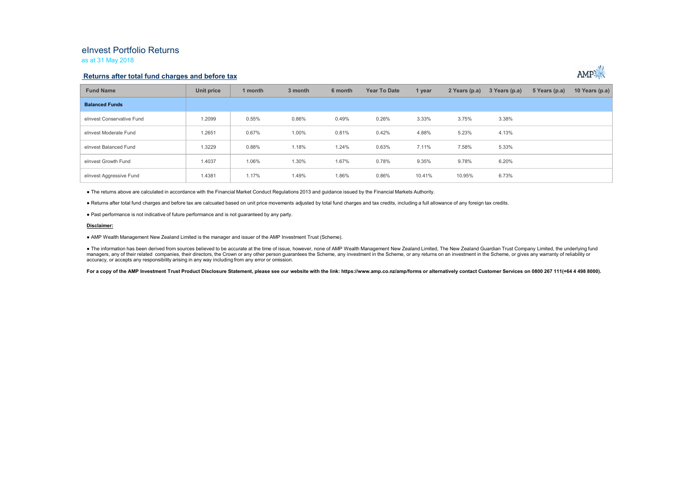## eInvest Portfolio Returns as at 31 May 2018

### **Returns after total fund charges and before tax**



| <b>Fund Name</b>          | Unit price | 1 month | 3 month | 6 month | <b>Year To Date</b> | 1 year | 2 Years (p.a) | 3 Years (p.a) | 5 Years (p.a) | 10 Years (p.a) |
|---------------------------|------------|---------|---------|---------|---------------------|--------|---------------|---------------|---------------|----------------|
| <b>Balanced Funds</b>     |            |         |         |         |                     |        |               |               |               |                |
| elnvest Conservative Fund | 1.2099     | 0.55%   | 0.86%   | 0.49%   | 0.26%               | 3.33%  | 3.75%         | 3.38%         |               |                |
| elnyest Moderate Fund     | 1.2651     | 0.67%   | 1.00%   | 0.81%   | 0.42%               | 4.88%  | 5.23%         | 4.13%         |               |                |
| elnvest Balanced Fund     | 1.3229     | 0.88%   | 1.18%   | 1.24%   | 0.63%               | 7.11%  | 7.58%         | 5.33%         |               |                |
| elnvest Growth Fund       | 1.4037     | 1.06%   | 1.30%   | 1.67%   | 0.78%               | 9.35%  | 9.78%         | 6.20%         |               |                |
| elnvest Aggressive Fund   | 1.4381     | 1.17%   | 1.49%   | 1.86%   | 0.86%               | 10.41% | 10.95%        | 6.73%         |               |                |

● The returns above are calculated in accordance with the Financial Market Conduct Regulations 2013 and guidance issued by the Financial Markets Authority.

● Returns after total fund charges and before tax are calcuated based on unit price movements adjusted by total fund charges and tax credits, including a full allowance of any foreign tax credits.

● Past performance is not indicative of future performance and is not guaranteed by any party.

#### **Disclaimer:**

● AMP Wealth Management New Zealand Limited is the manager and issuer of the AMP Investment Trust (Scheme).

● The information has been derived from sources believed to be accurate at the time of issue, however, none of AMP Wealth Management New Zealand Limited, The New Zealand Guardian Trust Company Limited, the underlying fund managers, any of their related companies, their directors, the Crown or any other person quarantees the Scheme, any investment in the Scheme, or any returns on an investment in the Scheme, or gives any warranty of reliabil accuracy, or accepts any responsibility arising in any way including from any error or omission.

For a copy of the AMP Investment Trust Product Disclosure Statement, please see our website with the link: https://www.amp.co.nz/amp/forms or alternatively contact Customer Services on 0800 267 111(+64 4 498 8000).